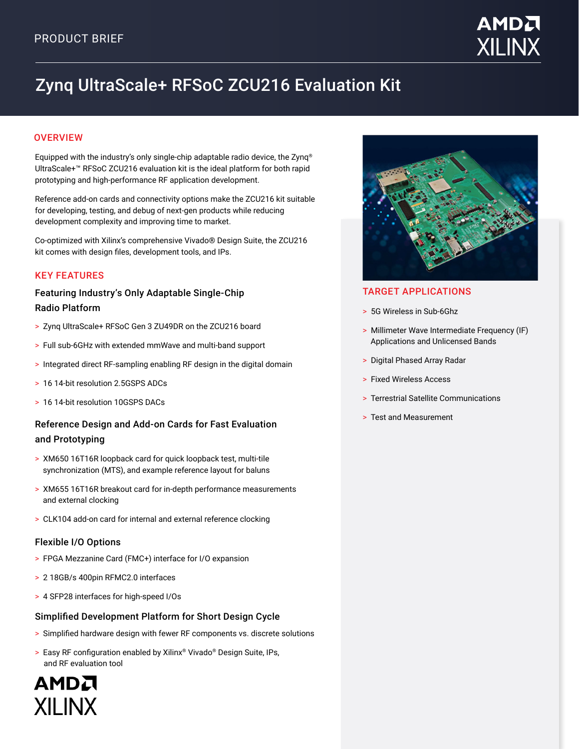# Zynq UltraScale+ RFSoC ZCU216 Evaluation Kit

# **OVERVIEW**

Equipped with the industry's only single-chip adaptable radio device, the Zynq® UltraScale+™ RFSoC ZCU216 evaluation kit is the ideal platform for both rapid prototyping and high-performance RF application development.

Reference add-on cards and connectivity options make the ZCU216 kit suitable for developing, testing, and debug of next-gen products while reducing development complexity and improving time to market.

Co-optimized with Xilinx's comprehensive Vivado® Design Suite, the ZCU216 kit comes with design files, development tools, and IPs.

## KEY FEATURES

## Featuring Industry's Only Adaptable Single-Chip Radio Platform

- > Zynq UltraScale+ RFSoC Gen 3 ZU49DR on the ZCU216 board
- > Full sub-6GHz with extended mmWave and multi-band support
- > Integrated direct RF-sampling enabling RF design in the digital domain
- > 16.14-bit resolution 2.5GSPS ADCs
- > 16 14-bit resolution 10GSPS DACs

# Reference Design and Add-on Cards for Fast Evaluation and Prototyping

- > XM650 16T16R loopback card for quick loopback test, multi-tile synchronization (MTS), and example reference layout for baluns
- > XM655 16T16R breakout card for in-depth performance measurements and external clocking
- > CLK104 add-on card for internal and external reference clocking

### Flexible I/O Options

- > FPGA Mezzanine Card (FMC+) interface for I/O expansion
- > 2 18GB/s 400pin RFMC2.0 interfaces
- > 4 SFP28 interfaces for high-speed I/Os

### Simplified Development Platform for Short Design Cycle

- > Simplified hardware design with fewer RF components vs. discrete solutions
- > Easy RF configuration enabled by Xilinx® Vivado® Design Suite, IPs, and RF evaluation tool

AMDA **XILINX** 



## TARGET APPLICATIONS

- > 5G Wireless in Sub-6Ghz
- > Millimeter Wave Intermediate Frequency (IF) Applications and Unlicensed Bands
- > Digital Phased Array Radar
- > Fixed Wireless Access
- > Terrestrial Satellite Communications
- > Test and Measurement